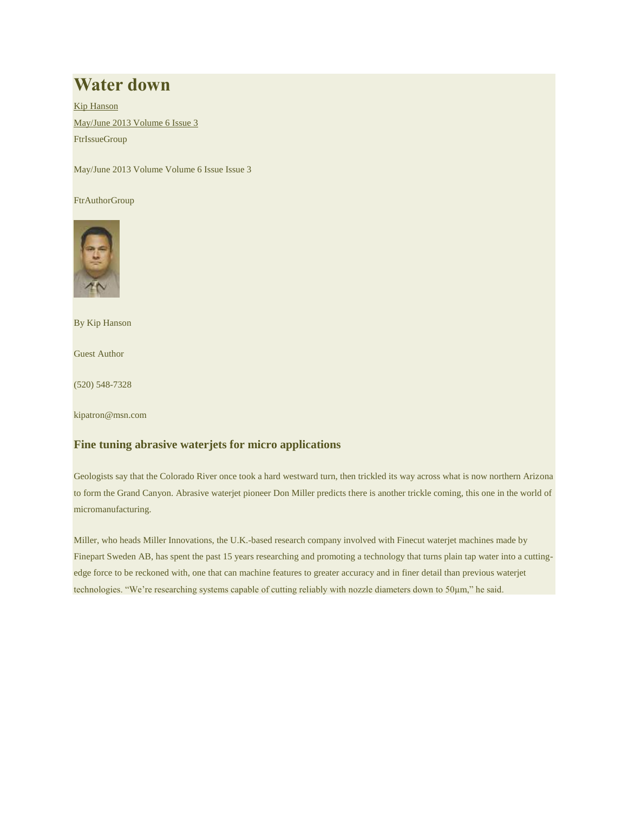# **Water down**

[Kip Hanson](http://www.micromanufacturing.com/content/kip-hanson) [May/June 2013 Volume 6 Issue 3](http://www.micromanufacturing.com/content/mayjune-2013-volume-6-issue-3) FtrIssueGroup

May/June 2013 Volume Volume 6 Issue Issue 3

FtrAuthorGroup



By Kip Hanson

Guest Author

(520) 548-7328

kipatron@msn.com

## **Fine tuning abrasive waterjets for micro applications**

Geologists say that the Colorado River once took a hard westward turn, then trickled its way across what is now northern Arizona to form the Grand Canyon. Abrasive waterjet pioneer Don Miller predicts there is another trickle coming, this one in the world of micromanufacturing.

Miller, who heads Miller Innovations, the U.K.-based research company involved with Finecut waterjet machines made by Finepart Sweden AB, has spent the past 15 years researching and promoting a technology that turns plain tap water into a cuttingedge force to be reckoned with, one that can machine features to greater accuracy and in finer detail than previous waterjet technologies. "We're researching systems capable of cutting reliably with nozzle diameters down to 50μm," he said.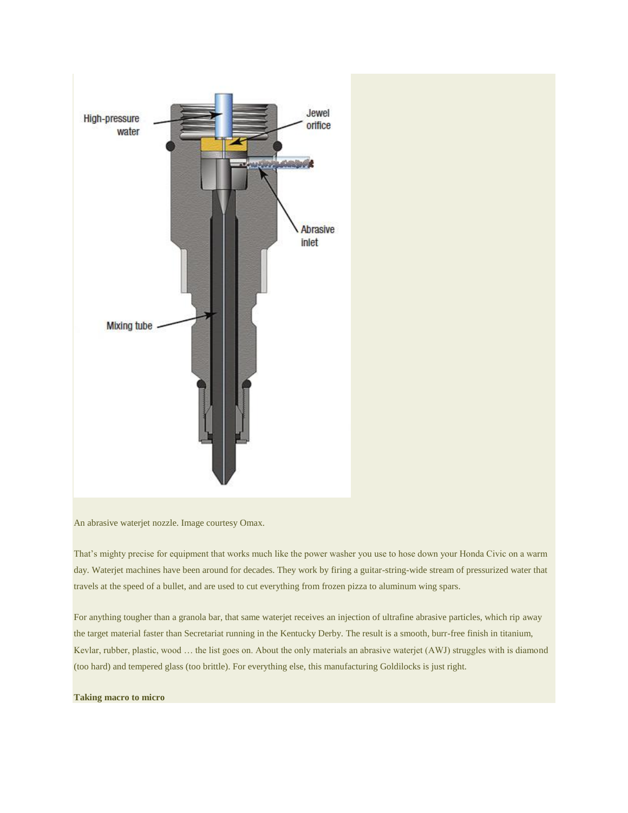

An abrasive waterjet nozzle. Image courtesy Omax.

That's mighty precise for equipment that works much like the power washer you use to hose down your Honda Civic on a warm day. Waterjet machines have been around for decades. They work by firing a guitar-string-wide stream of pressurized water that travels at the speed of a bullet, and are used to cut everything from frozen pizza to aluminum wing spars.

For anything tougher than a granola bar, that same waterjet receives an injection of ultrafine abrasive particles, which rip away the target material faster than Secretariat running in the Kentucky Derby. The result is a smooth, burr-free finish in titanium, Kevlar, rubber, plastic, wood … the list goes on. About the only materials an abrasive waterjet (AWJ) struggles with is diamond (too hard) and tempered glass (too brittle). For everything else, this manufacturing Goldilocks is just right.

### **Taking macro to micro**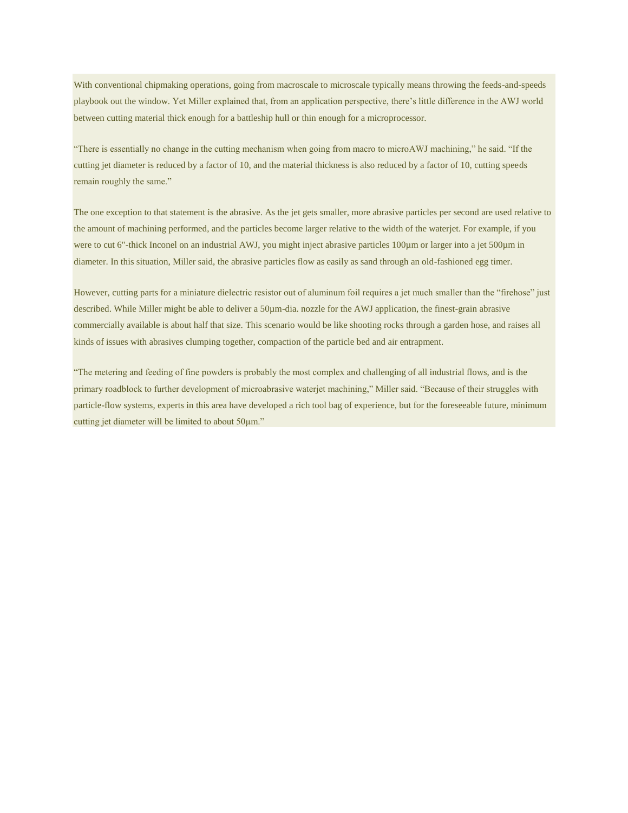With conventional chipmaking operations, going from macroscale to microscale typically means throwing the feeds-and-speeds playbook out the window. Yet Miller explained that, from an application perspective, there's little difference in the AWJ world between cutting material thick enough for a battleship hull or thin enough for a microprocessor.

"There is essentially no change in the cutting mechanism when going from macro to microAWJ machining," he said. "If the cutting jet diameter is reduced by a factor of 10, and the material thickness is also reduced by a factor of 10, cutting speeds remain roughly the same."

The one exception to that statement is the abrasive. As the jet gets smaller, more abrasive particles per second are used relative to the amount of machining performed, and the particles become larger relative to the width of the waterjet. For example, if you were to cut 6"-thick Inconel on an industrial AWJ, you might inject abrasive particles 100µm or larger into a jet 500µm in diameter. In this situation, Miller said, the abrasive particles flow as easily as sand through an old-fashioned egg timer.

However, cutting parts for a miniature dielectric resistor out of aluminum foil requires a jet much smaller than the "firehose" just described. While Miller might be able to deliver a 50µm-dia. nozzle for the AWJ application, the finest-grain abrasive commercially available is about half that size. This scenario would be like shooting rocks through a garden hose, and raises all kinds of issues with abrasives clumping together, compaction of the particle bed and air entrapment.

"The metering and feeding of fine powders is probably the most complex and challenging of all industrial flows, and is the primary roadblock to further development of microabrasive waterjet machining," Miller said. "Because of their struggles with particle-flow systems, experts in this area have developed a rich tool bag of experience, but for the foreseeable future, minimum cutting jet diameter will be limited to about 50µm."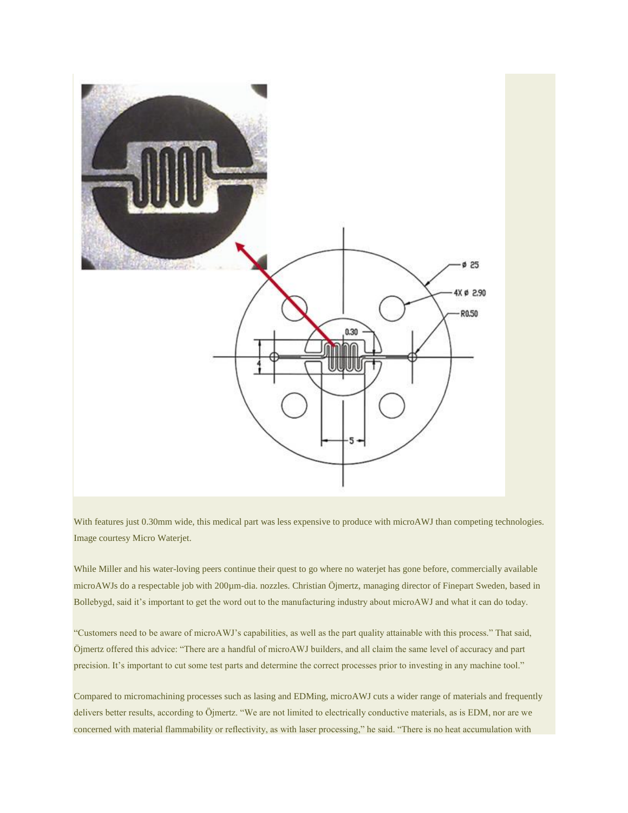

With features just 0.30mm wide, this medical part was less expensive to produce with microAWJ than competing technologies. Image courtesy Micro Waterjet.

While Miller and his water-loving peers continue their quest to go where no waterjet has gone before, commercially available microAWJs do a respectable job with 200µm-dia. nozzles. Christian Öjmertz, managing director of Finepart Sweden, based in Bollebygd, said it's important to get the word out to the manufacturing industry about microAWJ and what it can do today.

"Customers need to be aware of microAWJ's capabilities, as well as the part quality attainable with this process." That said, Öjmertz offered this advice: "There are a handful of microAWJ builders, and all claim the same level of accuracy and part precision. It's important to cut some test parts and determine the correct processes prior to investing in any machine tool."

Compared to micromachining processes such as lasing and EDMing, microAWJ cuts a wider range of materials and frequently delivers better results, according to Öjmertz. "We are not limited to electrically conductive materials, as is EDM, nor are we concerned with material flammability or reflectivity, as with laser processing," he said. "There is no heat accumulation with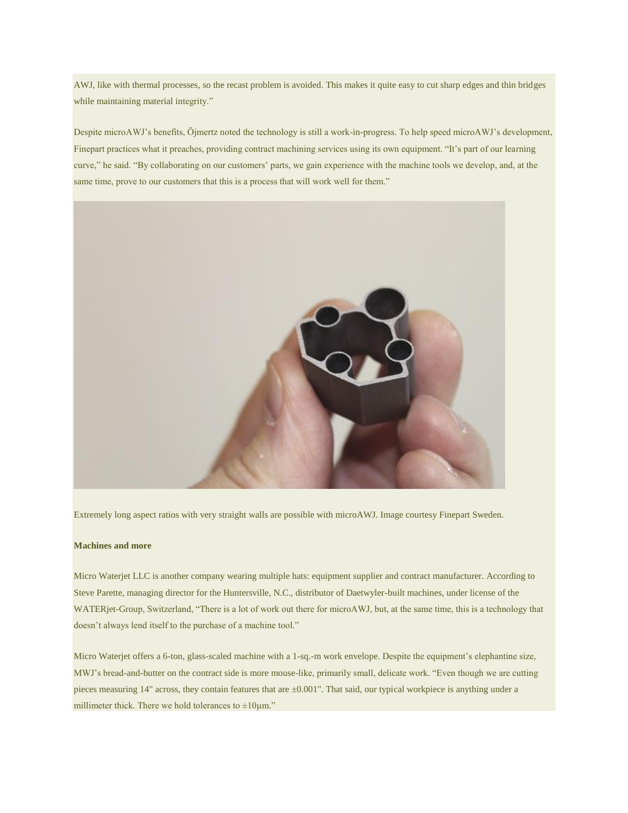AWJ, like with thermal processes, so the recast problem is avoided. This makes it quite easy to cut sharp edges and thin bridges while maintaining material integrity."

Despite microAWJ's benefits, Öjmertz noted the technology is still a work-in-progress. To help speed microAWJ's development, Finepart practices what it preaches, providing contract machining services using its own equipment. "It's part of our learning curve," he said. "By collaborating on our customers' parts, we gain experience with the machine tools we develop, and, at the same time, prove to our customers that this is a process that will work well for them."



Extremely long aspect ratios with very straight walls are possible with microAWJ. Image courtesy Finepart Sweden.

#### **Machines and more**

Micro Waterjet LLC is another company wearing multiple hats: equipment supplier and contract manufacturer. According to Steve Parette, managing director for the Huntersville, N.C., distributor of Daetwyler-built machines, under license of the WATERjet-Group, Switzerland, "There is a lot of work out there for microAWJ, but, at the same time, this is a technology that doesn't always lend itself to the purchase of a machine tool."

Micro Waterjet offers a 6-ton, glass-scaled machine with a 1-sq.-m work envelope. Despite the equipment's elephantine size, MWJ's bread-and-butter on the contract side is more mouse-like, primarily small, delicate work. "Even though we are cutting pieces measuring 14" across, they contain features that are ±0.001". That said, our typical workpiece is anything under a millimeter thick. There we hold tolerances to  $\pm 10 \mu m$ ."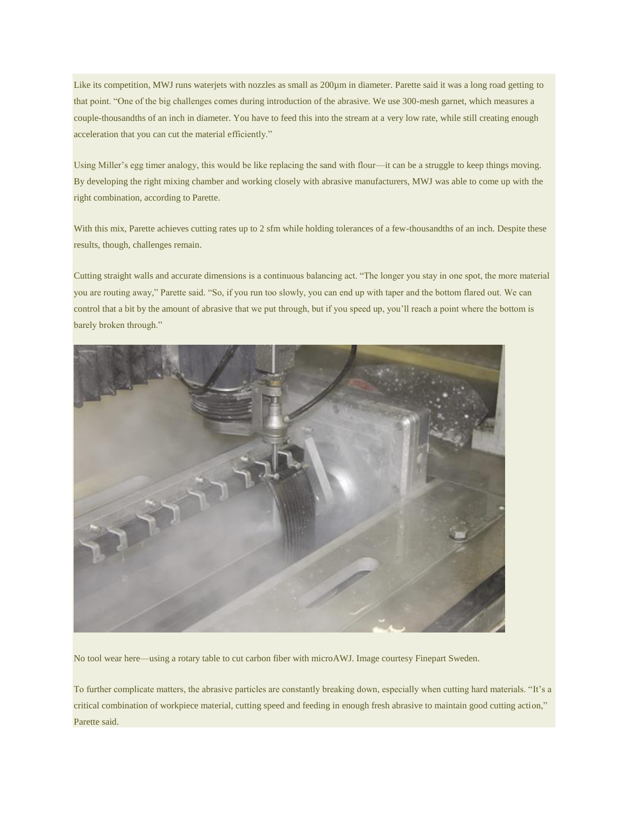Like its competition, MWJ runs waterjets with nozzles as small as 200µm in diameter. Parette said it was a long road getting to that point. "One of the big challenges comes during introduction of the abrasive. We use 300-mesh garnet, which measures a couple-thousandths of an inch in diameter. You have to feed this into the stream at a very low rate, while still creating enough acceleration that you can cut the material efficiently."

Using Miller's egg timer analogy, this would be like replacing the sand with flour—it can be a struggle to keep things moving. By developing the right mixing chamber and working closely with abrasive manufacturers, MWJ was able to come up with the right combination, according to Parette.

With this mix, Parette achieves cutting rates up to 2 sfm while holding tolerances of a few-thousandths of an inch. Despite these results, though, challenges remain.

Cutting straight walls and accurate dimensions is a continuous balancing act. "The longer you stay in one spot, the more material you are routing away," Parette said. "So, if you run too slowly, you can end up with taper and the bottom flared out. We can control that a bit by the amount of abrasive that we put through, but if you speed up, you'll reach a point where the bottom is barely broken through."



No tool wear here—using a rotary table to cut carbon fiber with microAWJ. Image courtesy Finepart Sweden.

To further complicate matters, the abrasive particles are constantly breaking down, especially when cutting hard materials. "It's a critical combination of workpiece material, cutting speed and feeding in enough fresh abrasive to maintain good cutting action," Parette said.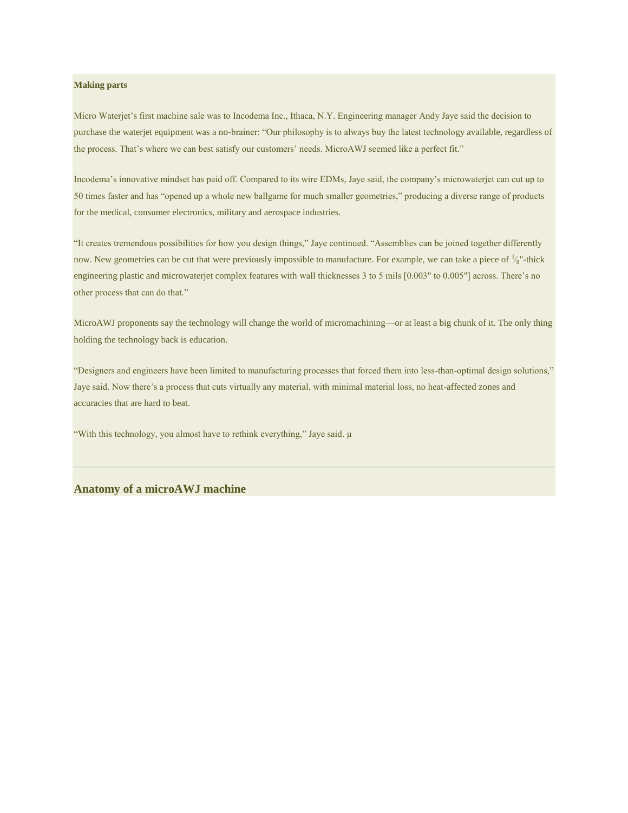## **Making parts**

Micro Waterjet's first machine sale was to Incodema Inc., Ithaca, N.Y. Engineering manager Andy Jaye said the decision to purchase the waterjet equipment was a no-brainer: "Our philosophy is to always buy the latest technology available, regardless of the process. That's where we can best satisfy our customers' needs. MicroAWJ seemed like a perfect fit."

Incodema's innovative mindset has paid off. Compared to its wire EDMs, Jaye said, the company's microwaterjet can cut up to 50 times faster and has "opened up a whole new ballgame for much smaller geometries," producing a diverse range of products for the medical, consumer electronics, military and aerospace industries.

"It creates tremendous possibilities for how you design things," Jaye continued. "Assemblies can be joined together differently now. New geometries can be cut that were previously impossible to manufacture. For example, we can take a piece of  $\frac{1}{8}$ "-thick engineering plastic and microwaterjet complex features with wall thicknesses 3 to 5 mils [0.003" to 0.005"] across. There's no other process that can do that."

MicroAWJ proponents say the technology will change the world of micromachining—or at least a big chunk of it. The only thing holding the technology back is education.

"Designers and engineers have been limited to manufacturing processes that forced them into less-than-optimal design solutions," Jaye said. Now there's a process that cuts virtually any material, with minimal material loss, no heat-affected zones and accuracies that are hard to beat.

"With this technology, you almost have to rethink everything," Jaye said.  $\mu$ 

## **Anatomy of a microAWJ machine**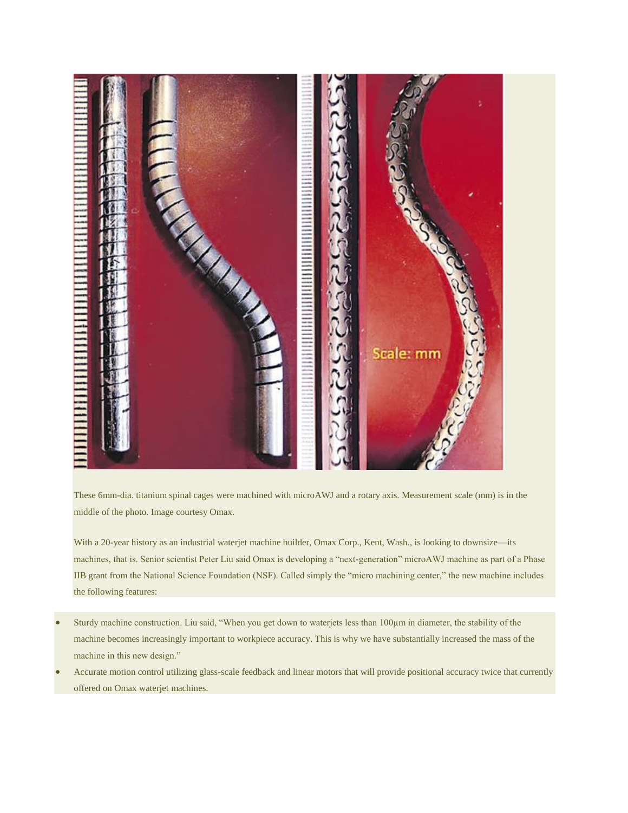

These 6mm-dia. titanium spinal cages were machined with microAWJ and a rotary axis. Measurement scale (mm) is in the middle of the photo. Image courtesy Omax.

With a 20-year history as an industrial waterjet machine builder, Omax Corp., Kent, Wash., is looking to downsize—its machines, that is. Senior scientist Peter Liu said Omax is developing a "next-generation" microAWJ machine as part of a Phase IIB grant from the National Science Foundation (NSF). Called simply the "micro machining center," the new machine includes the following features:

- Sturdy machine construction. Liu said, "When you get down to waterjets less than 100µm in diameter, the stability of the machine becomes increasingly important to workpiece accuracy. This is why we have substantially increased the mass of the machine in this new design."
- Accurate motion control utilizing glass-scale feedback and linear motors that will provide positional accuracy twice that currently offered on Omax waterjet machines.